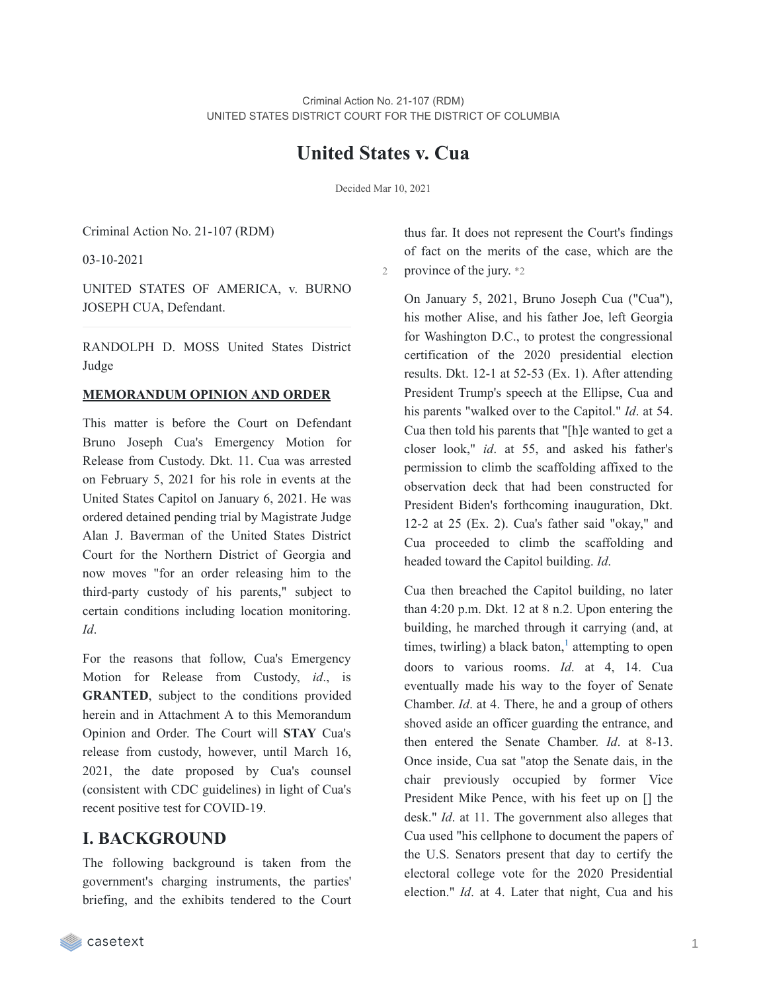# **United States v. Cua**

Decided Mar 10, 2021

Criminal Action No. 21-107 (RDM)

03-10-2021

UNITED STATES OF AMERICA, v. BURNO JOSEPH CUA, Defendant.

RANDOLPH D. MOSS United States District Judge

## **MEMORANDUM OPINION AND ORDER**

This matter is before the Court on Defendant Bruno Joseph Cua's Emergency Motion for Release from Custody. Dkt. 11. Cua was arrested on February 5, 2021 for his role in events at the United States Capitol on January 6, 2021. He was ordered detained pending trial by Magistrate Judge Alan J. Baverman of the United States District Court for the Northern District of Georgia and now moves "for an order releasing him to the third-party custody of his parents," subject to certain conditions including location monitoring. *Id*.

For the reasons that follow, Cua's Emergency Motion for Release from Custody, *id*., is **GRANTED**, subject to the conditions provided herein and in Attachment A to this Memorandum Opinion and Order. The Court will **STAY** Cua's release from custody, however, until March 16, 2021, the date proposed by Cua's counsel (consistent with CDC guidelines) in light of Cua's recent positive test for COVID-19.

# **I. BACKGROUND**

The following background is taken from the government's charging instruments, the parties' briefing, and the exhibits tendered to the Court

thus far. It does not represent the Court's findings of fact on the merits of the case, which are the 2 province of the jury. \*2

On January 5, 2021, Bruno Joseph Cua ("Cua"), his mother Alise, and his father Joe, left Georgia for Washington D.C., to protest the congressional certification of the 2020 presidential election results. Dkt. 12-1 at 52-53 (Ex. 1). After attending President Trump's speech at the Ellipse, Cua and his parents "walked over to the Capitol." *Id*. at 54. Cua then told his parents that "[h]e wanted to get a closer look," *id*. at 55, and asked his father's permission to climb the scaffolding affixed to the observation deck that had been constructed for President Biden's forthcoming inauguration, Dkt. 12-2 at 25 (Ex. 2). Cua's father said "okay," and Cua proceeded to climb the scaffolding and headed toward the Capitol building. *Id*.

Cua then breached the Capitol building, no later than 4:20 p.m. Dkt. 12 at 8 n.2. Upon entering the building, he marched through it carrying (and, at times, twirling) a black baton, $\frac{1}{1}$  $\frac{1}{1}$  $\frac{1}{1}$  attempting to open doors to various rooms. *Id*. at 4, 14. Cua eventually made his way to the foyer of Senate Chamber. *Id*. at 4. There, he and a group of others shoved aside an officer guarding the entrance, and then entered the Senate Chamber. *Id*. at 8-13. Once inside, Cua sat "atop the Senate dais, in the chair previously occupied by former Vice President Mike Pence, with his feet up on [] the desk." *Id*. at 11. The government also alleges that Cua used "his cellphone to document the papers of the U.S. Senators present that day to certify the electoral college vote for the 2020 Presidential election." *Id*. at 4. Later that night, Cua and his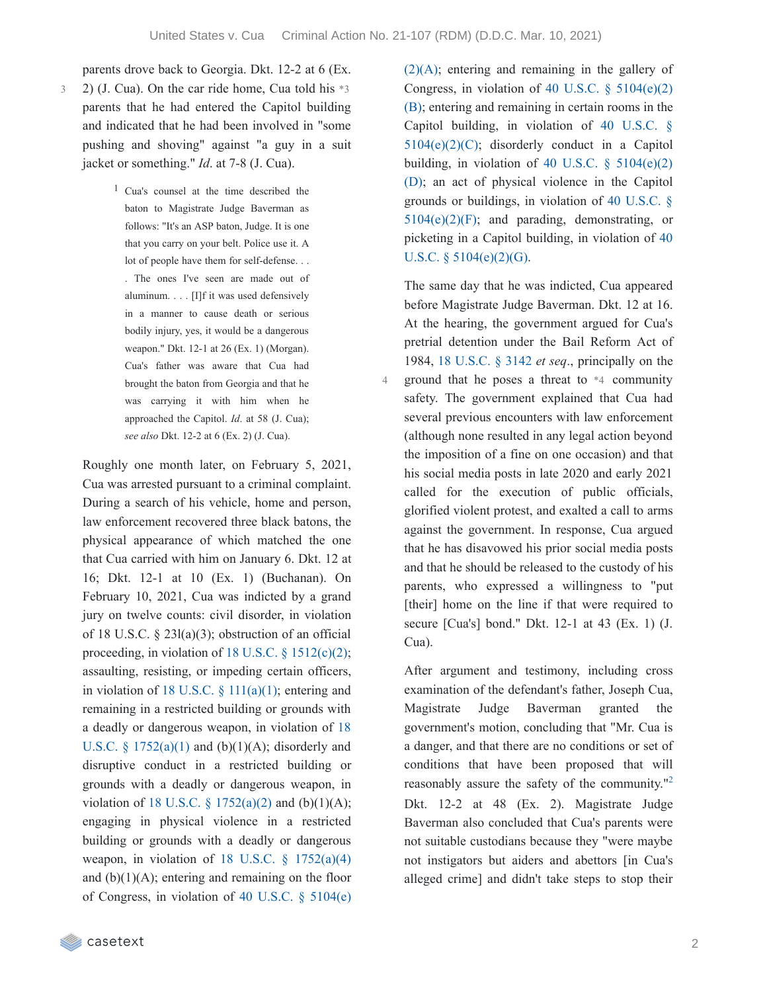parents drove back to Georgia. Dkt. 12-2 at 6 (Ex.

- 2) (J. Cua). On the car ride home, Cua told his \*3 parents that he had entered the Capitol building and indicated that he had been involved in "some pushing and shoving" against "a guy in a suit jacket or something." *Id*. at 7-8 (J. Cua). 3
	- 1 Cua's counsel at the time described the baton to Magistrate Judge Baverman as follows: "It's an ASP baton, Judge. It is one that you carry on your belt. Police use it. A lot of people have them for self-defense. . . . The ones I've seen are made out of aluminum. . . . [I]f it was used defensively in a manner to cause death or serious bodily injury, yes, it would be a dangerous weapon." Dkt. 12-1 at 26 (Ex. 1) (Morgan). Cua's father was aware that Cua had brought the baton from Georgia and that he was carrying it with him when he approached the Capitol. *Id*. at 58 (J. Cua); *see also* Dkt. 12-2 at 6 (Ex. 2) (J. Cua).

Roughly one month later, on February 5, 2021, Cua was arrested pursuant to a criminal complaint. During a search of his vehicle, home and person, law enforcement recovered three black batons, the physical appearance of which matched the one that Cua carried with him on January 6. Dkt. 12 at 16; Dkt. 12-1 at 10 (Ex. 1) (Buchanan). On February 10, 2021, Cua was indicted by a grand jury on twelve counts: civil disorder, in violation of 18 U.S.C.  $\S$  23l(a)(3); obstruction of an official proceeding, in violation of 18 U.S.C.  $\S$  [1512\(c\)\(2\);](https://casetext.com/statute/united-states-code/title-18-crimes-and-criminal-procedure/part-i-crimes/chapter-73-obstruction-of-justice/section-1512-tampering-with-a-witness-victim-or-an-informant) assaulting, resisting, or impeding certain officers, in violation of 18 U.S.C.  $\S$  [111\(a\)\(1\)](https://casetext.com/statute/united-states-code/title-18-crimes-and-criminal-procedure/part-i-crimes/chapter-7-assault/section-111-assaulting-resisting-or-impeding-certain-officers-or-employees); entering and remaining in a restricted building or grounds with a deadly or dangerous weapon, in violation of 18 U.S.C.  $\frac{1752(a)(1)}{2}$  $\frac{1752(a)(1)}{2}$  $\frac{1752(a)(1)}{2}$  and (b)(1)(A); disorderly and disruptive conduct in a restricted building or grounds with a deadly or dangerous weapon, in violation of 18 U.S.C. § [1752\(a\)\(2\)](https://casetext.com/statute/united-states-code/title-18-crimes-and-criminal-procedure/part-i-crimes/chapter-84-presidential-and-presidential-staff-assassination-kidnapping-and-assault/section-1752-restricted-building-or-grounds) and (b)(1)(A); engaging in physical violence in a restricted building or grounds with a deadly or dangerous weapon, in violation of 18 U.S.C.  $\S$  [1752\(a\)\(4\)](https://casetext.com/statute/united-states-code/title-18-crimes-and-criminal-procedure/part-i-crimes/chapter-84-presidential-and-presidential-staff-assassination-kidnapping-and-assault/section-1752-restricted-building-or-grounds) and  $(b)(1)(A)$ ; entering and remaining on the floor of [Congress,](https://casetext.com/statute/united-states-code/title-40-public-buildings-property-and-works/subtitle-ii-public-buildings-and-works/part-b-united-states-capitol/chapter-51-united-states-capitol-buildings-and-grounds/section-5104-unlawful-activities) in violation of 40 U.S.C. § 5104(e)

 $(2)(A)$ ; entering and [remaining](https://casetext.com/statute/united-states-code/title-40-public-buildings-property-and-works/subtitle-ii-public-buildings-and-works/part-b-united-states-capitol/chapter-51-united-states-capitol-buildings-and-grounds/section-5104-unlawful-activities) in the gallery of Congress, in violation of 40 U.S.C.  $\S$  [5104\(e\)\(2\)](https://casetext.com/statute/united-states-code/title-40-public-buildings-property-and-works/subtitle-ii-public-buildings-and-works/part-b-united-states-capitol/chapter-51-united-states-capitol-buildings-and-grounds/section-5104-unlawful-activities) (B); entering and remaining in certain rooms in the Capitol building, in violation of 40 U.S.C. §  $5104(e)(2)(C)$ ; disorderly conduct in a Capitol building, in violation of 40 U.S.C.  $\S$  [5104\(e\)\(2\)](https://casetext.com/statute/united-states-code/title-40-public-buildings-property-and-works/subtitle-ii-public-buildings-and-works/part-b-united-states-capitol/chapter-51-united-states-capitol-buildings-and-grounds/section-5104-unlawful-activities) (D); an act of physical violence in the Capitol grounds or buildings, in violation of 40 U.S.C. §  $5104(e)(2)(F)$ ; and parading, [demonstrating,](https://casetext.com/statute/united-states-code/title-40-public-buildings-property-and-works/subtitle-ii-public-buildings-and-works/part-b-united-states-capitol/chapter-51-united-states-capitol-buildings-and-grounds/section-5104-unlawful-activities) or picketing in a Capitol building, in violation of 40 U.S.C. § [5104\(e\)\(2\)\(G\).](https://casetext.com/statute/united-states-code/title-40-public-buildings-property-and-works/subtitle-ii-public-buildings-and-works/part-b-united-states-capitol/chapter-51-united-states-capitol-buildings-and-grounds/section-5104-unlawful-activities)

The same day that he was indicted, Cua appeared before Magistrate Judge Baverman. Dkt. 12 at 16. At the hearing, the government argued for Cua's pretrial detention under the Bail Reform Act of 1984, 18 [U.S.C.](https://casetext.com/statute/united-states-code/title-18-crimes-and-criminal-procedure/part-ii-criminal-procedure/chapter-207-release-and-detention-pending-judicial-proceedings/section-3142-release-or-detention-of-a-defendant-pending-trial) § 3142 *et seq*., principally on the ground that he poses a threat to \*4 community safety. The government explained that Cua had several previous encounters with law enforcement (although none resulted in any legal action beyond the imposition of a fine on one occasion) and that his social media posts in late 2020 and early 2021 called for the execution of public officials, glorified violent protest, and exalted a call to arms against the government. In response, Cua argued that he has disavowed his prior social media posts and that he should be released to the custody of his parents, who expressed a willingness to "put [their] home on the line if that were required to secure [Cua's] bond." Dkt. 12-1 at 43 (Ex. 1) (J. Cua).

After argument and testimony, including cross examination of the defendant's father, Joseph Cua, Magistrate Judge Baverman granted the government's motion, concluding that "Mr. Cua is a danger, and that there are no conditions or set of conditions that have been proposed that will reasonably assure the safety of the community."<sup>[2](https://casetext.com/_print/doc/united-states-v-cua-3?_printIncludeHighlights=false&_printIncludeKeyPassages=false&_printIsTwoColumn=true&_printEmail=&_printHighlightsKey=#N196698)</sup> Dkt. 12-2 at 48 (Ex. 2). Magistrate Judge Baverman also concluded that Cua's parents were not suitable custodians because they "were maybe not instigators but aiders and abettors [in Cua's alleged crime] and didn't take steps to stop their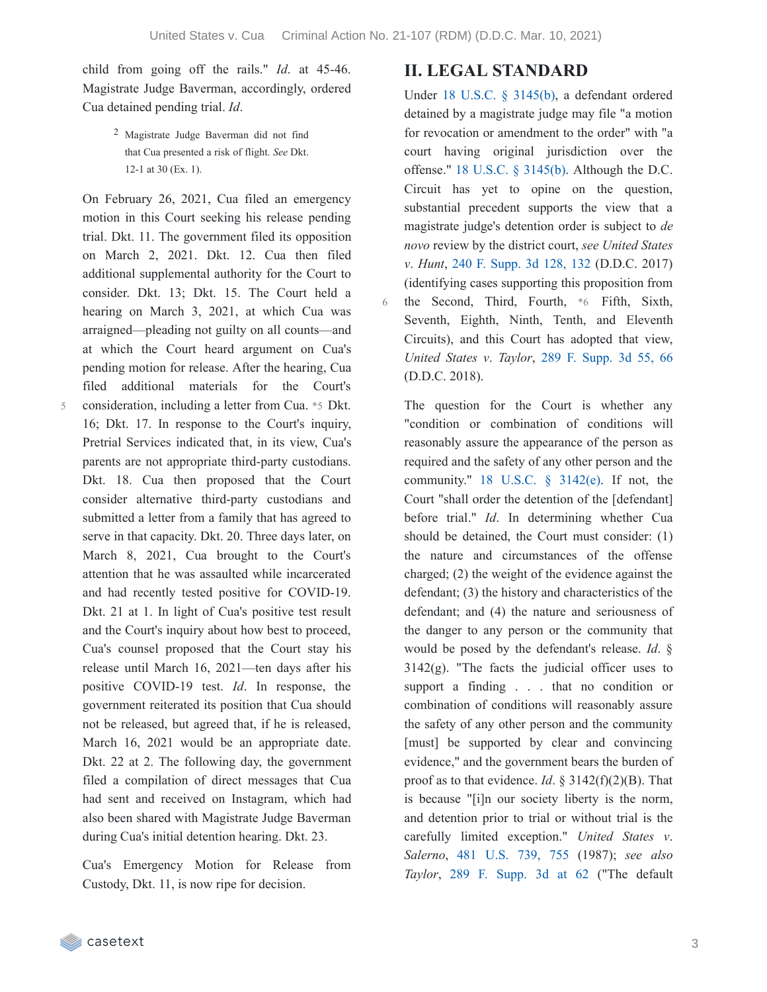child from going off the rails." *Id*. at 45-46. Magistrate Judge Baverman, accordingly, ordered Cua detained pending trial. *Id*.

> 2 Magistrate Judge Baverman did not find that Cua presented a risk of flight. *See* Dkt. 12-1 at 30 (Ex. 1).

On February 26, 2021, Cua filed an emergency motion in this Court seeking his release pending trial. Dkt. 11. The government filed its opposition on March 2, 2021. Dkt. 12. Cua then filed additional supplemental authority for the Court to consider. Dkt. 13; Dkt. 15. The Court held a hearing on March 3, 2021, at which Cua was arraigned—pleading not guilty on all counts—and at which the Court heard argument on Cua's pending motion for release. After the hearing, Cua filed additional materials for the Court's consideration, including a letter from Cua. \*5 Dkt. 16; Dkt. 17. In response to the Court's inquiry, Pretrial Services indicated that, in its view, Cua's parents are not appropriate third-party custodians. Dkt. 18. Cua then proposed that the Court consider alternative third-party custodians and submitted a letter from a family that has agreed to serve in that capacity. Dkt. 20. Three days later, on March 8, 2021, Cua brought to the Court's attention that he was assaulted while incarcerated and had recently tested positive for COVID-19. Dkt. 21 at 1. In light of Cua's positive test result and the Court's inquiry about how best to proceed, Cua's counsel proposed that the Court stay his release until March 16, 2021—ten days after his positive COVID-19 test. *Id*. In response, the government reiterated its position that Cua should not be released, but agreed that, if he is released, March 16, 2021 would be an appropriate date. Dkt. 22 at 2. The following day, the government

filed a compilation of direct messages that Cua had sent and received on Instagram, which had also been shared with Magistrate Judge Baverman during Cua's initial detention hearing. Dkt. 23.

Cua's Emergency Motion for Release from Custody, Dkt. 11, is now ripe for decision.

# **II. LEGAL STANDARD**

Under 18 U.S.C. § [3145\(b\)](https://casetext.com/statute/united-states-code/title-18-crimes-and-criminal-procedure/part-ii-criminal-procedure/chapter-207-release-and-detention-pending-judicial-proceedings/section-3145-review-and-appeal-of-a-release-or-detention-order), a defendant ordered detained by a magistrate judge may file "a motion for revocation or amendment to the order" with "a court having original jurisdiction over the offense." 18 U.S.C. § [3145\(b\).](https://casetext.com/statute/united-states-code/title-18-crimes-and-criminal-procedure/part-ii-criminal-procedure/chapter-207-release-and-detention-pending-judicial-proceedings/section-3145-review-and-appeal-of-a-release-or-detention-order) Although the D.C. Circuit has yet to opine on the question, substantial precedent supports the view that a magistrate judge's detention order is subject to *de novo* review by the district court, *see United States v*. *Hunt*, 240 F. [Supp.](https://casetext.com/case/united-states-v-hunt-95#p132) 3d 128, 132 (D.D.C. 2017) (identifying cases supporting this proposition from the Second, Third, Fourth, \*6 Fifth, Sixth, Seventh, Eighth, Ninth, Tenth, and Eleventh Circuits), and this Court has adopted that view, *United States v*. *Taylor*, 289 F. [Supp.](https://casetext.com/case/united-states-v-taylor-915#p66) 3d 55, 66 (D.D.C. 2018).

The question for the Court is whether any "condition or combination of conditions will reasonably assure the appearance of the person as required and the safety of any other person and the community."  $18$  U.S.C.  $\S$  [3142\(e\).](https://casetext.com/statute/united-states-code/title-18-crimes-and-criminal-procedure/part-ii-criminal-procedure/chapter-207-release-and-detention-pending-judicial-proceedings/section-3142-release-or-detention-of-a-defendant-pending-trial) If not, the Court "shall order the detention of the [defendant] before trial." *Id*. In determining whether Cua should be detained, the Court must consider: (1) the nature and circumstances of the offense charged; (2) the weight of the evidence against the defendant; (3) the history and characteristics of the defendant; and (4) the nature and seriousness of the danger to any person or the community that would be posed by the defendant's release. *Id*. §  $3142(g)$ . "The facts the judicial officer uses to support a finding . . . that no condition or combination of conditions will reasonably assure the safety of any other person and the community [must] be supported by clear and convincing evidence," and the government bears the burden of proof as to that evidence. *Id*. § 3142(f)(2)(B). That is because "[i]n our society liberty is the norm, and detention prior to trial or without trial is the carefully limited exception." *United States v*. *Salerno*, 481 [U.S.](https://casetext.com/case/united-states-v-salerno-7#p755) 739, 755 (1987); *see also Taylor*, 289 F. [Supp.](https://casetext.com/case/united-states-v-taylor-915#p62) 3d at 62 ("The default

5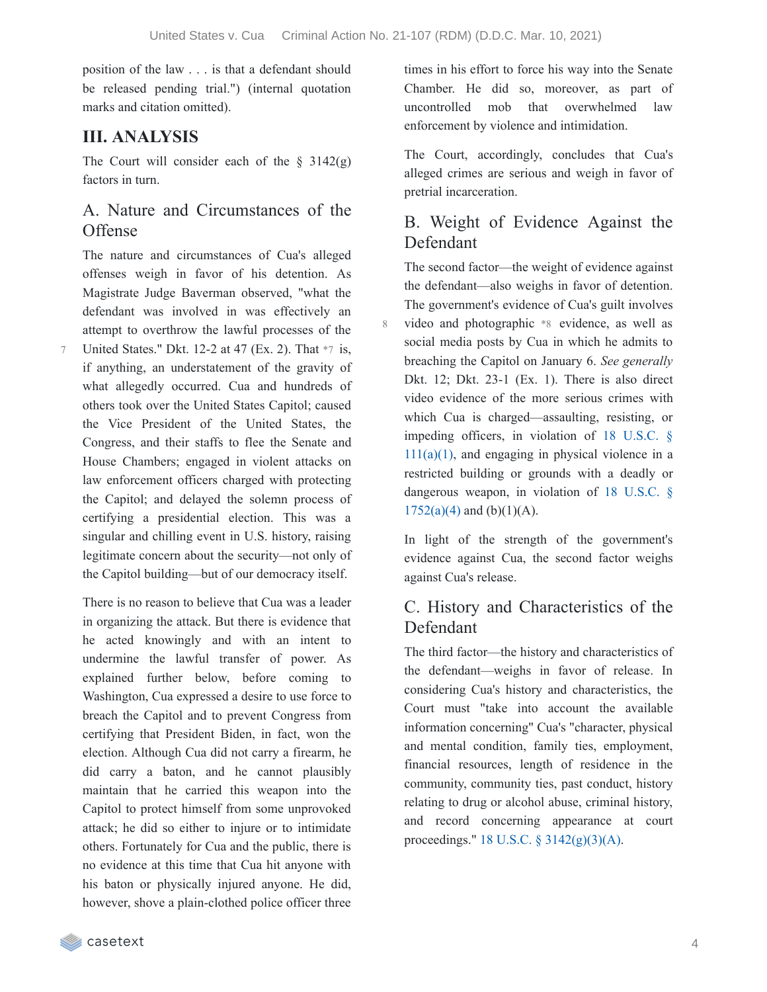position of the law . . . is that a defendant should be released pending trial.") (internal quotation marks and citation omitted).

# **III. ANALYSIS**

The Court will consider each of the  $\S$  3142(g) factors in turn.

# A. Nature and Circumstances of the **Offense**

The nature and circumstances of Cua's alleged offenses weigh in favor of his detention. As Magistrate Judge Baverman observed, "what the defendant was involved in was effectively an attempt to overthrow the lawful processes of the

United States." Dkt. 12-2 at 47 (Ex. 2). That \*7 is, if anything, an understatement of the gravity of what allegedly occurred. Cua and hundreds of others took over the United States Capitol; caused the Vice President of the United States, the Congress, and their staffs to flee the Senate and House Chambers; engaged in violent attacks on law enforcement officers charged with protecting the Capitol; and delayed the solemn process of certifying a presidential election. This was a singular and chilling event in U.S. history, raising legitimate concern about the security—not only of the Capitol building—but of our democracy itself. 7

There is no reason to believe that Cua was a leader in organizing the attack. But there is evidence that he acted knowingly and with an intent to undermine the lawful transfer of power. As explained further below, before coming to Washington, Cua expressed a desire to use force to breach the Capitol and to prevent Congress from certifying that President Biden, in fact, won the election. Although Cua did not carry a firearm, he did carry a baton, and he cannot plausibly maintain that he carried this weapon into the Capitol to protect himself from some unprovoked attack; he did so either to injure or to intimidate others. Fortunately for Cua and the public, there is no evidence at this time that Cua hit anyone with his baton or physically injured anyone. He did, however, shove a plain-clothed police officer three

times in his effort to force his way into the Senate Chamber. He did so, moreover, as part of uncontrolled mob that overwhelmed law enforcement by violence and intimidation.

The Court, accordingly, concludes that Cua's alleged crimes are serious and weigh in favor of pretrial incarceration.

# B. Weight of Evidence Against the Defendant

The second factor—the weight of evidence against the defendant—also weighs in favor of detention. The government's evidence of Cua's guilt involves video and photographic \*8 evidence, as well as social media posts by Cua in which he admits to breaching the Capitol on January 6. *See generally* Dkt. 12; Dkt. 23-1 (Ex. 1). There is also direct video evidence of the more serious crimes with which Cua is charged—assaulting, resisting, or impeding officers, in violation of 18 U.S.C. §  $111(a)(1)$ , and engaging in physical violence in a restricted building or grounds with a deadly or dangerous weapon, in violation of 18 U.S.C. §  $1752(a)(4)$  and  $(b)(1)(A)$ .

In light of the strength of the government's evidence against Cua, the second factor weighs against Cua's release.

# C. History and Characteristics of the Defendant

The third factor—the history and characteristics of the defendant—weighs in favor of release. In considering Cua's history and characteristics, the Court must "take into account the available information concerning" Cua's "character, physical and mental condition, family ties, employment, financial resources, length of residence in the community, community ties, past conduct, history relating to drug or alcohol abuse, criminal history, and record concerning appearance at court proceedings." 18 U.S.C. § [3142\(g\)\(3\)\(A\).](https://casetext.com/statute/united-states-code/title-18-crimes-and-criminal-procedure/part-ii-criminal-procedure/chapter-207-release-and-detention-pending-judicial-proceedings/section-3142-release-or-detention-of-a-defendant-pending-trial)

casetext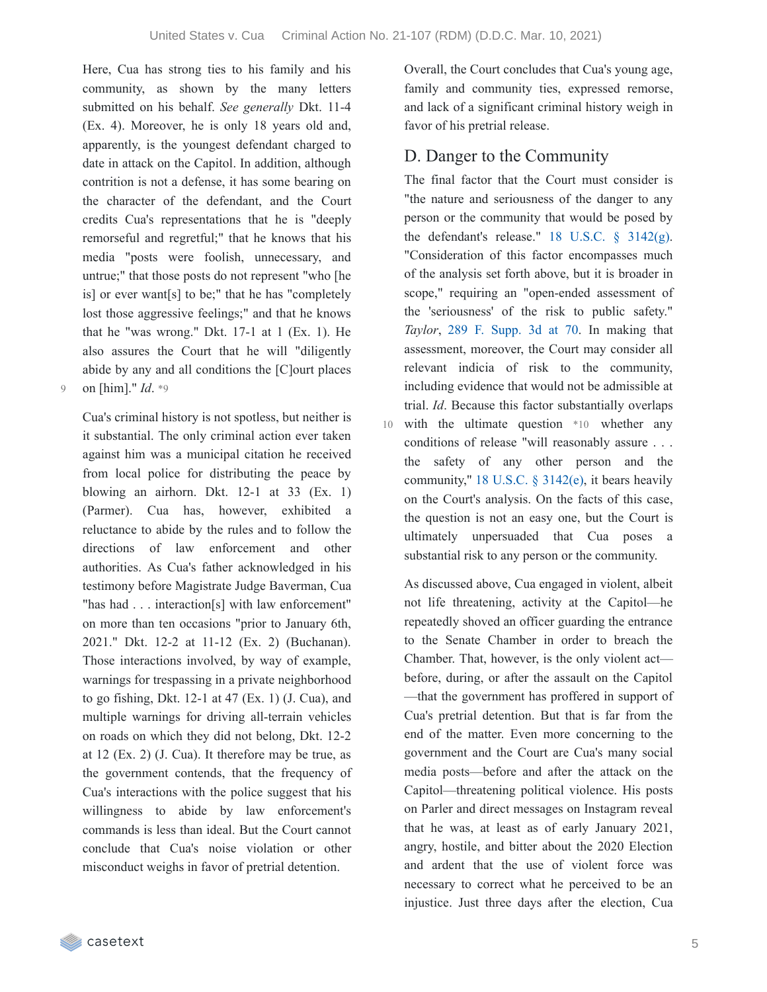Here, Cua has strong ties to his family and his community, as shown by the many letters submitted on his behalf. *See generally* Dkt. 11-4 (Ex. 4). Moreover, he is only 18 years old and, apparently, is the youngest defendant charged to date in attack on the Capitol. In addition, although contrition is not a defense, it has some bearing on the character of the defendant, and the Court credits Cua's representations that he is "deeply remorseful and regretful;" that he knows that his media "posts were foolish, unnecessary, and untrue;" that those posts do not represent "who [he is] or ever want[s] to be;" that he has "completely lost those aggressive feelings;" and that he knows that he "was wrong." Dkt. 17-1 at 1 (Ex. 1). He also assures the Court that he will "diligently abide by any and all conditions the [C]ourt places 9 on [him]." *Id*. \*9

Cua's criminal history is not spotless, but neither is it substantial. The only criminal action ever taken against him was a municipal citation he received from local police for distributing the peace by blowing an airhorn. Dkt. 12-1 at 33 (Ex. 1) (Parmer). Cua has, however, exhibited a reluctance to abide by the rules and to follow the directions of law enforcement and other authorities. As Cua's father acknowledged in his testimony before Magistrate Judge Baverman, Cua "has had . . . interaction[s] with law enforcement" on more than ten occasions "prior to January 6th, 2021." Dkt. 12-2 at 11-12 (Ex. 2) (Buchanan). Those interactions involved, by way of example, warnings for trespassing in a private neighborhood to go fishing, Dkt.  $12-1$  at  $47$  (Ex. 1) (J. Cua), and multiple warnings for driving all-terrain vehicles on roads on which they did not belong, Dkt. 12-2 at 12 (Ex. 2) (J. Cua). It therefore may be true, as the government contends, that the frequency of Cua's interactions with the police suggest that his willingness to abide by law enforcement's commands is less than ideal. But the Court cannot conclude that Cua's noise violation or other misconduct weighs in favor of pretrial detention.

Overall, the Court concludes that Cua's young age, family and community ties, expressed remorse, and lack of a significant criminal history weigh in favor of his pretrial release.

# D. Danger to the Community

The final factor that the Court must consider is "the nature and seriousness of the danger to any person or the community that would be posed by the defendant's release."  $18$  U.S.C.  $\frac{24}{2}$  (g). "Consideration of this factor encompasses much of the analysis set forth above, but it is broader in scope," requiring an "open-ended assessment of the 'seriousness' of the risk to public safety." *Taylor*, 289 F. [Supp.](https://casetext.com/case/united-states-v-taylor-915#p70) 3d at 70. In making that assessment, moreover, the Court may consider all relevant indicia of risk to the community, including evidence that would not be admissible at trial. *Id*. Because this factor substantially overlaps with the ultimate question \*10 whether any conditions of release "will reasonably assure . . . the safety of any other person and the community," 18 U.S.C. § [3142\(e\)](https://casetext.com/statute/united-states-code/title-18-crimes-and-criminal-procedure/part-ii-criminal-procedure/chapter-207-release-and-detention-pending-judicial-proceedings/section-3142-release-or-detention-of-a-defendant-pending-trial), it bears heavily on the Court's analysis. On the facts of this case, the question is not an easy one, but the Court is ultimately unpersuaded that Cua poses a substantial risk to any person or the community.

As discussed above, Cua engaged in violent, albeit not life threatening, activity at the Capitol—he repeatedly shoved an officer guarding the entrance to the Senate Chamber in order to breach the Chamber. That, however, is the only violent act before, during, or after the assault on the Capitol —that the government has proffered in support of Cua's pretrial detention. But that is far from the end of the matter. Even more concerning to the government and the Court are Cua's many social media posts—before and after the attack on the Capitol—threatening political violence. His posts on Parler and direct messages on Instagram reveal that he was, at least as of early January 2021, angry, hostile, and bitter about the 2020 Election and ardent that the use of violent force was necessary to correct what he perceived to be an injustice. Just three days after the election, Cua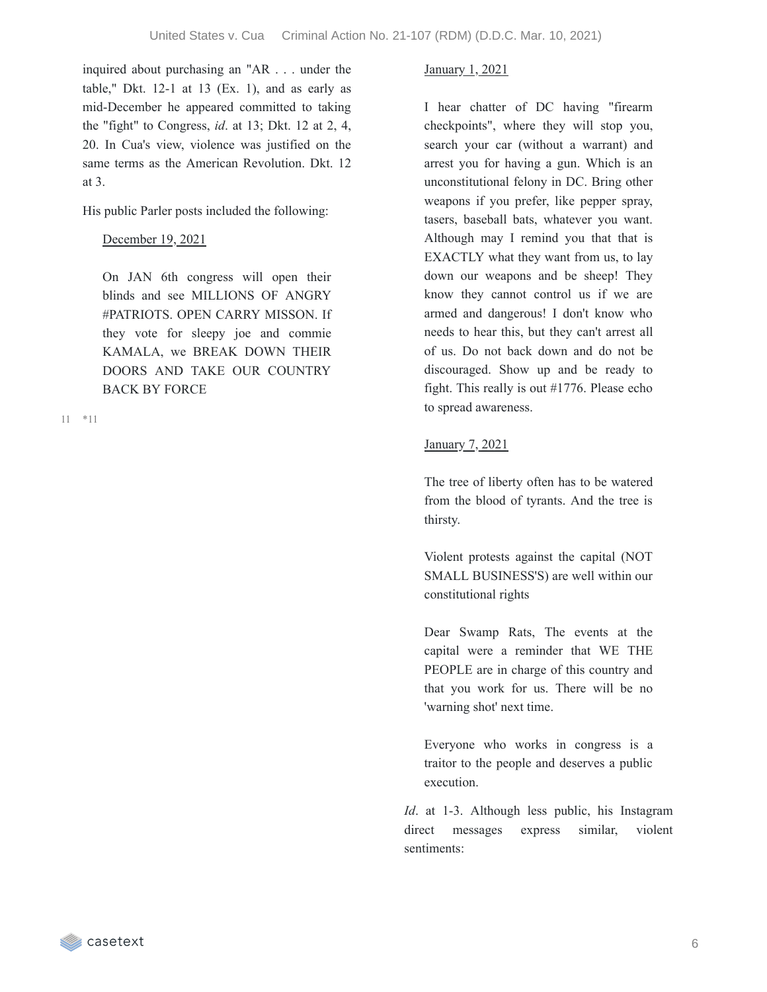inquired about purchasing an "AR . . . under the table," Dkt.  $12-1$  at  $13$  (Ex. 1), and as early as mid-December he appeared committed to taking the "fight" to Congress, *id*. at 13; Dkt. 12 at 2, 4, 20. In Cua's view, violence was justified on the same terms as the American Revolution. Dkt. 12 at 3.

His public Parler posts included the following:

## December 19, 2021

On JAN 6th congress will open their blinds and see MILLIONS OF ANGRY #PATRIOTS. OPEN CARRY MISSON. If they vote for sleepy joe and commie KAMALA, we BREAK DOWN THEIR DOORS AND TAKE OUR COUNTRY BACK BY FORCE

\*11 11

## January 1, 2021

I hear chatter of DC having "firearm checkpoints", where they will stop you, search your car (without a warrant) and arrest you for having a gun. Which is an unconstitutional felony in DC. Bring other weapons if you prefer, like pepper spray, tasers, baseball bats, whatever you want. Although may I remind you that that is EXACTLY what they want from us, to lay down our weapons and be sheep! They know they cannot control us if we are armed and dangerous! I don't know who needs to hear this, but they can't arrest all of us. Do not back down and do not be discouraged. Show up and be ready to fight. This really is out #1776. Please echo to spread awareness.

## January 7, 2021

The tree of liberty often has to be watered from the blood of tyrants. And the tree is thirsty.

Violent protests against the capital (NOT SMALL BUSINESS'S) are well within our constitutional rights

Dear Swamp Rats, The events at the capital were a reminder that WE THE PEOPLE are in charge of this country and that you work for us. There will be no 'warning shot' next time.

Everyone who works in congress is a traitor to the people and deserves a public execution.

*Id*. at 1-3. Although less public, his Instagram direct messages express similar, violent sentiments: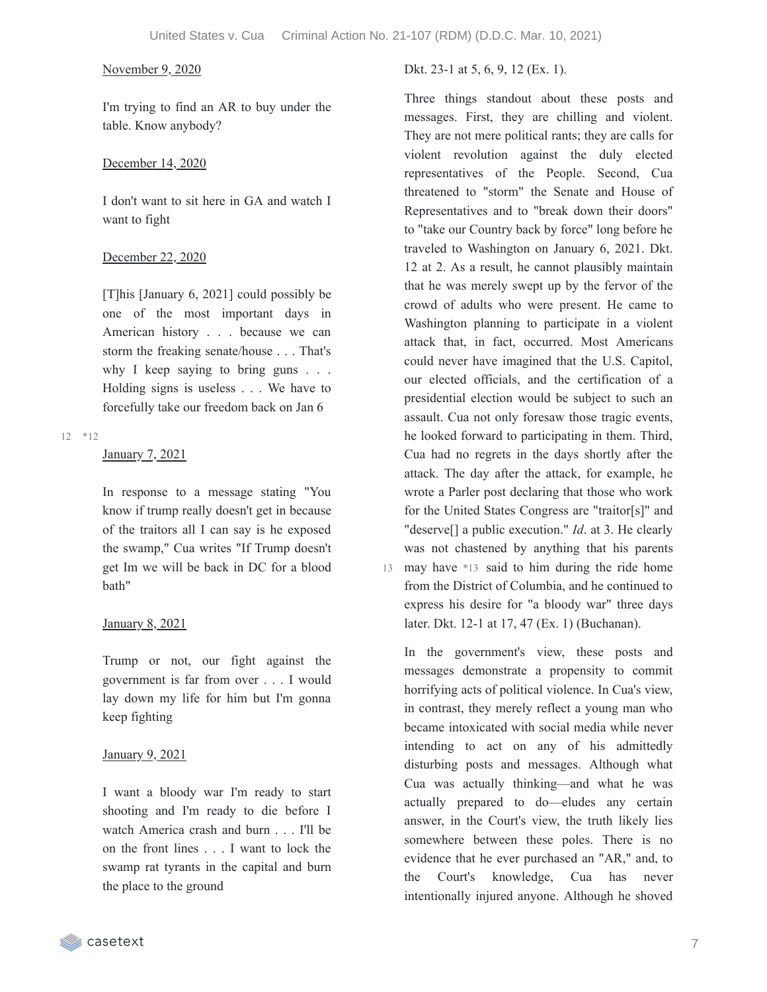I'm trying to find an AR to buy under the table. Know anybody?

### December 14, 2020

I don't want to sit here in GA and watch I want to fight

### December 22, 2020

[T]his [January 6, 2021] could possibly be one of the most important days in American history . . . because we can storm the freaking senate/house . . . That's why I keep saying to bring guns . . . Holding signs is useless . . . We have to forcefully take our freedom back on Jan 6

### \*12 12

## January 7, 2021

In response to a message stating "You know if trump really doesn't get in because of the traitors all I can say is he exposed the swamp," Cua writes "If Trump doesn't get Im we will be back in DC for a blood bath"

## January 8, 2021

Trump or not, our fight against the government is far from over . . . I would lay down my life for him but I'm gonna keep fighting

## January 9, 2021

I want a bloody war I'm ready to start shooting and I'm ready to die before I watch America crash and burn . . . I'll be on the front lines . . . I want to lock the swamp rat tyrants in the capital and burn the place to the ground

November 9, 2020 Dkt. 23-1 at 5, 6, 9, 12 (Ex. 1).

Three things standout about these posts and messages. First, they are chilling and violent. They are not mere political rants; they are calls for violent revolution against the duly elected representatives of the People. Second, Cua threatened to "storm" the Senate and House of Representatives and to "break down their doors" to "take our Country back by force" long before he traveled to Washington on January 6, 2021. Dkt. 12 at 2. As a result, he cannot plausibly maintain that he was merely swept up by the fervor of the crowd of adults who were present. He came to Washington planning to participate in a violent attack that, in fact, occurred. Most Americans could never have imagined that the U.S. Capitol, our elected officials, and the certification of a presidential election would be subject to such an assault. Cua not only foresaw those tragic events, he looked forward to participating in them. Third, Cua had no regrets in the days shortly after the attack. The day after the attack, for example, he wrote a Parler post declaring that those who work for the United States Congress are "traitor[s]" and "deserve[] a public execution." *Id*. at 3. He clearly was not chastened by anything that his parents 13 may have \*13 said to him during the ride home from the District of Columbia, and he continued to express his desire for "a bloody war" three days later. Dkt. 12-1 at 17, 47 (Ex. 1) (Buchanan).

In the government's view, these posts and messages demonstrate a propensity to commit horrifying acts of political violence. In Cua's view, in contrast, they merely reflect a young man who became intoxicated with social media while never intending to act on any of his admittedly disturbing posts and messages. Although what Cua was actually thinking—and what he was actually prepared to do—eludes any certain answer, in the Court's view, the truth likely lies somewhere between these poles. There is no evidence that he ever purchased an "AR," and, to the Court's knowledge, Cua has never intentionally injured anyone. Although he shoved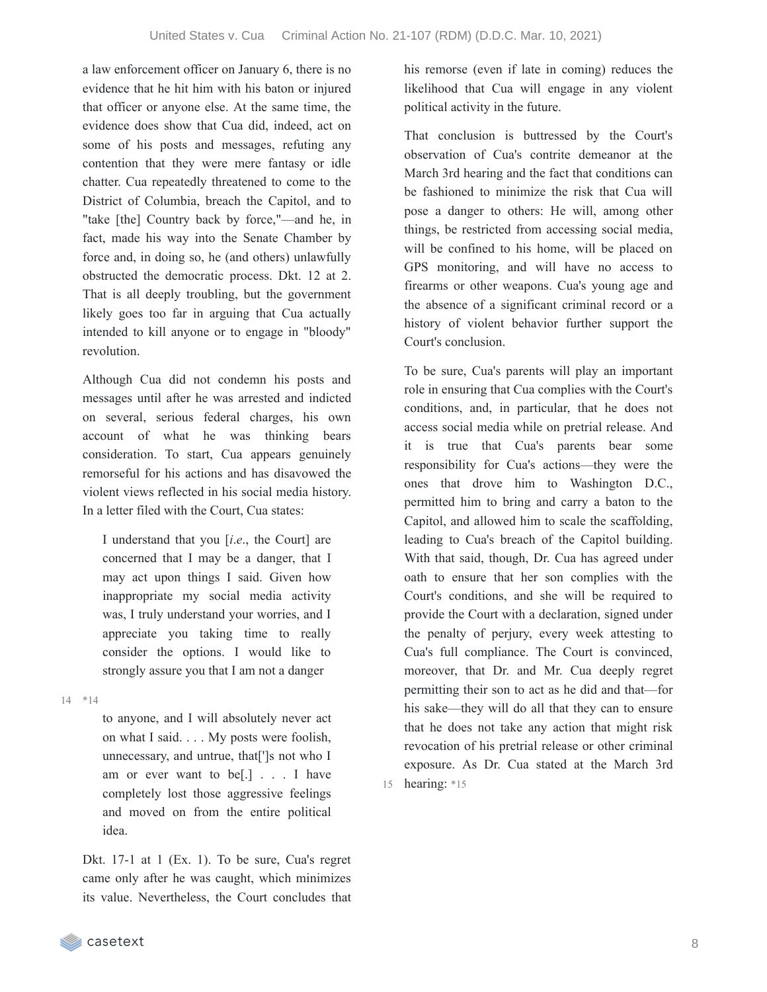a law enforcement officer on January 6, there is no evidence that he hit him with his baton or injured that officer or anyone else. At the same time, the evidence does show that Cua did, indeed, act on some of his posts and messages, refuting any contention that they were mere fantasy or idle chatter. Cua repeatedly threatened to come to the District of Columbia, breach the Capitol, and to "take [the] Country back by force,"—and he, in fact, made his way into the Senate Chamber by force and, in doing so, he (and others) unlawfully obstructed the democratic process. Dkt. 12 at 2. That is all deeply troubling, but the government likely goes too far in arguing that Cua actually intended to kill anyone or to engage in "bloody" revolution.

Although Cua did not condemn his posts and messages until after he was arrested and indicted on several, serious federal charges, his own account of what he was thinking bears consideration. To start, Cua appears genuinely remorseful for his actions and has disavowed the violent views reflected in his social media history. In a letter filed with the Court, Cua states:

I understand that you [*i*.*e*., the Court] are concerned that I may be a danger, that I may act upon things I said. Given how inappropriate my social media activity was, I truly understand your worries, and I appreciate you taking time to really consider the options. I would like to strongly assure you that I am not a danger

\*14 14

to anyone, and I will absolutely never act on what I said. . . . My posts were foolish, unnecessary, and untrue, that[']s not who I am or ever want to be[.] . . . I have completely lost those aggressive feelings and moved on from the entire political idea.

Dkt. 17-1 at 1 (Ex. 1). To be sure, Cua's regret came only after he was caught, which minimizes its value. Nevertheless, the Court concludes that his remorse (even if late in coming) reduces the likelihood that Cua will engage in any violent political activity in the future.

That conclusion is buttressed by the Court's observation of Cua's contrite demeanor at the March 3rd hearing and the fact that conditions can be fashioned to minimize the risk that Cua will pose a danger to others: He will, among other things, be restricted from accessing social media, will be confined to his home, will be placed on GPS monitoring, and will have no access to firearms or other weapons. Cua's young age and the absence of a significant criminal record or a history of violent behavior further support the Court's conclusion.

To be sure, Cua's parents will play an important role in ensuring that Cua complies with the Court's conditions, and, in particular, that he does not access social media while on pretrial release. And it is true that Cua's parents bear some responsibility for Cua's actions—they were the ones that drove him to Washington D.C., permitted him to bring and carry a baton to the Capitol, and allowed him to scale the scaffolding, leading to Cua's breach of the Capitol building. With that said, though, Dr. Cua has agreed under oath to ensure that her son complies with the Court's conditions, and she will be required to provide the Court with a declaration, signed under the penalty of perjury, every week attesting to Cua's full compliance. The Court is convinced, moreover, that Dr. and Mr. Cua deeply regret permitting their son to act as he did and that—for his sake—they will do all that they can to ensure that he does not take any action that might risk revocation of his pretrial release or other criminal exposure. As Dr. Cua stated at the March 3rd 15 hearing: \*15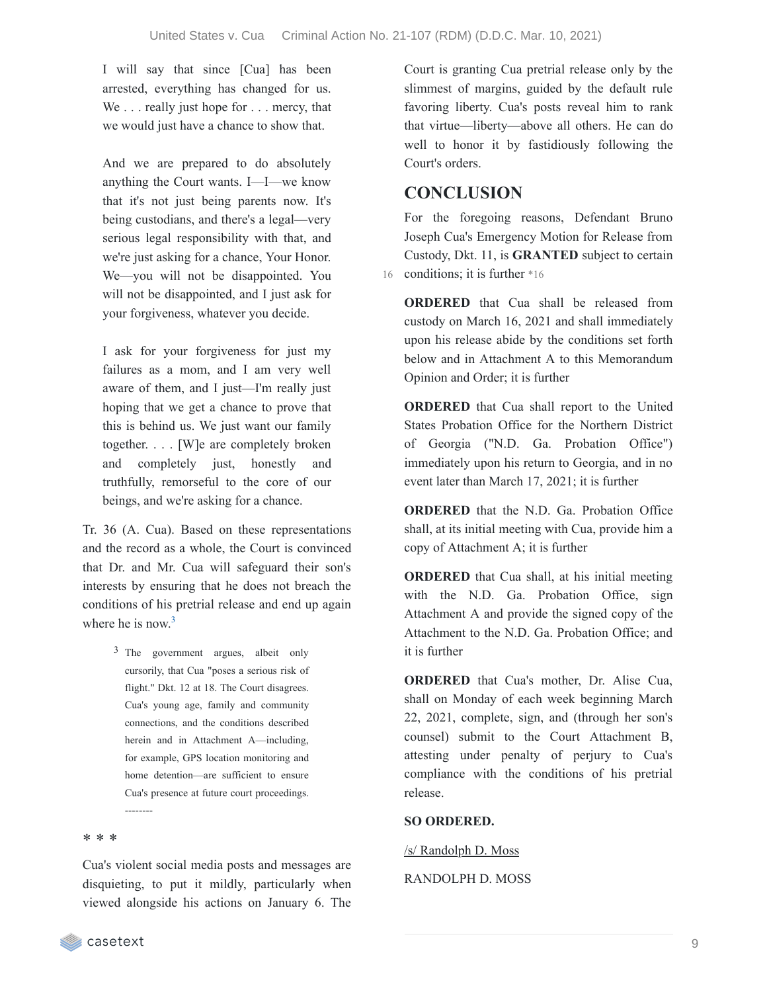I will say that since [Cua] has been arrested, everything has changed for us. We . . . really just hope for . . . mercy, that we would just have a chance to show that.

And we are prepared to do absolutely anything the Court wants. I—I—we know that it's not just being parents now. It's being custodians, and there's a legal—very serious legal responsibility with that, and we're just asking for a chance, Your Honor. We—you will not be disappointed. You will not be disappointed, and I just ask for your forgiveness, whatever you decide.

I ask for your forgiveness for just my failures as a mom, and I am very well aware of them, and I just—I'm really just hoping that we get a chance to prove that this is behind us. We just want our family together. . . . [W]e are completely broken and completely just, honestly and truthfully, remorseful to the core of our beings, and we're asking for a chance.

Tr. 36 (A. Cua). Based on these representations and the record as a whole, the Court is convinced that Dr. and Mr. Cua will safeguard their son's interests by ensuring that he does not breach the conditions of his pretrial release and end up again where he is now.<sup>[3](https://casetext.com/_print/doc/united-states-v-cua-3?_printIncludeHighlights=false&_printIncludeKeyPassages=false&_printIsTwoColumn=true&_printEmail=&_printHighlightsKey=#N196971)</sup>

> 3 The government argues, albeit only cursorily, that Cua "poses a serious risk of flight." Dkt. 12 at 18. The Court disagrees. Cua's young age, family and community connections, and the conditions described herein and in Attachment A—including, for example, GPS location monitoring and home detention—are sufficient to ensure Cua's presence at future court proceedings. --------

## \* \* \*

Cua's violent social media posts and messages are disquieting, to put it mildly, particularly when viewed alongside his actions on January 6. The Court is granting Cua pretrial release only by the slimmest of margins, guided by the default rule favoring liberty. Cua's posts reveal him to rank that virtue—liberty—above all others. He can do well to honor it by fastidiously following the Court's orders.

# **CONCLUSION**

For the foregoing reasons, Defendant Bruno Joseph Cua's Emergency Motion for Release from Custody, Dkt. 11, is **GRANTED** subject to certain 16 conditions; it is further \*16

**ORDERED** that Cua shall be released from custody on March 16, 2021 and shall immediately upon his release abide by the conditions set forth below and in Attachment A to this Memorandum Opinion and Order; it is further

**ORDERED** that Cua shall report to the United States Probation Office for the Northern District of Georgia ("N.D. Ga. Probation Office") immediately upon his return to Georgia, and in no event later than March 17, 2021; it is further

**ORDERED** that the N.D. Ga. Probation Office shall, at its initial meeting with Cua, provide him a copy of Attachment A; it is further

**ORDERED** that Cua shall, at his initial meeting with the N.D. Ga. Probation Office, sign Attachment A and provide the signed copy of the Attachment to the N.D. Ga. Probation Office; and it is further

**ORDERED** that Cua's mother, Dr. Alise Cua, shall on Monday of each week beginning March 22, 2021, complete, sign, and (through her son's counsel) submit to the Court Attachment B, attesting under penalty of perjury to Cua's compliance with the conditions of his pretrial release.

## **SO ORDERED.**

/s/ Randolph D. Moss

## RANDOLPH D. MOSS